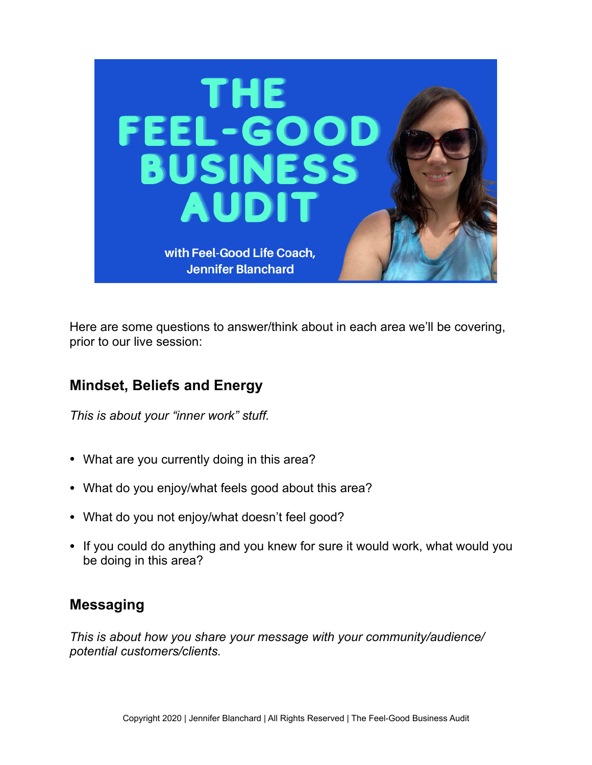

Here are some questions to answer/think about in each area we'll be covering, prior to our live session:

# **Mindset, Beliefs and Energy**

*This is about your "inner work" stuff.* 

- What are you currently doing in this area?
- What do you enjoy/what feels good about this area?
- What do you not enjoy/what doesn't feel good?
- If you could do anything and you knew for sure it would work, what would you be doing in this area?

#### **Messaging**

*This is about how you share your message with your community/audience/ potential customers/clients.*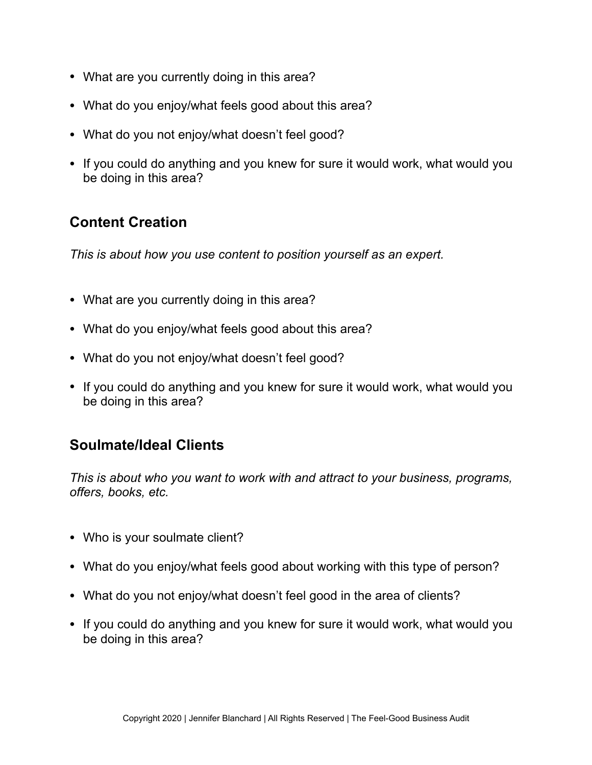- What are you currently doing in this area?
- What do you enjoy/what feels good about this area?
- What do you not enjoy/what doesn't feel good?
- If you could do anything and you knew for sure it would work, what would you be doing in this area?

### **Content Creation**

*This is about how you use content to position yourself as an expert.* 

- What are you currently doing in this area?
- What do you enjoy/what feels good about this area?
- What do you not enjoy/what doesn't feel good?
- If you could do anything and you knew for sure it would work, what would you be doing in this area?

#### **Soulmate/Ideal Clients**

*This is about who you want to work with and attract to your business, programs, offers, books, etc.* 

- Who is your soulmate client?
- What do you enjoy/what feels good about working with this type of person?
- What do you not enjoy/what doesn't feel good in the area of clients?
- If you could do anything and you knew for sure it would work, what would you be doing in this area?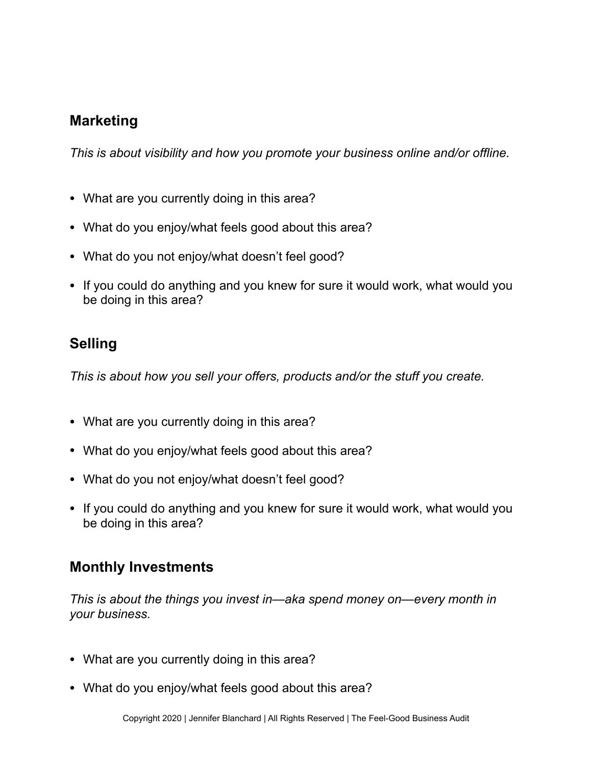### **Marketing**

*This is about visibility and how you promote your business online and/or offline.* 

- What are you currently doing in this area?
- What do you enjoy/what feels good about this area?
- What do you not enjoy/what doesn't feel good?
- If you could do anything and you knew for sure it would work, what would you be doing in this area?

### **Selling**

*This is about how you sell your offers, products and/or the stuff you create.* 

- What are you currently doing in this area?
- What do you enjoy/what feels good about this area?
- What do you not enjoy/what doesn't feel good?
- If you could do anything and you knew for sure it would work, what would you be doing in this area?

#### **Monthly Investments**

*This is about the things you invest in—aka spend money on—every month in your business.* 

- What are you currently doing in this area?
- What do you enjoy/what feels good about this area?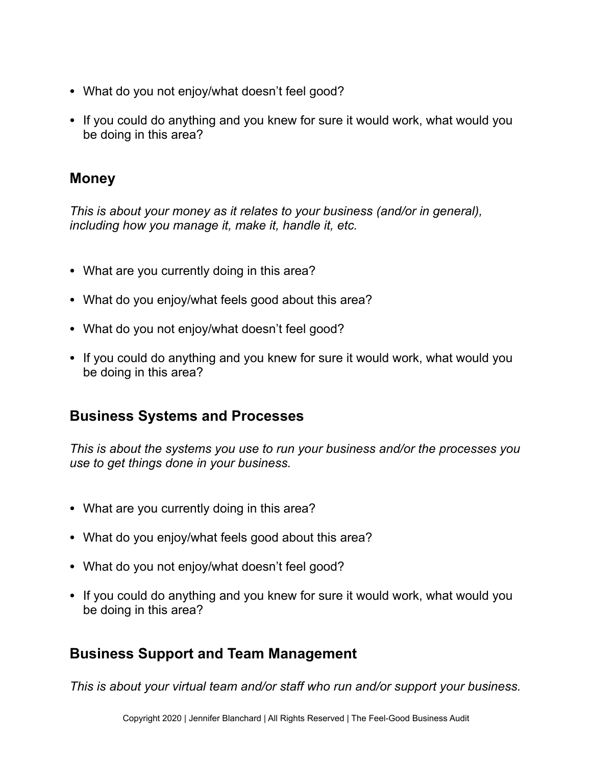- What do you not enjoy/what doesn't feel good?
- If you could do anything and you knew for sure it would work, what would you be doing in this area?

# **Money**

*This is about your money as it relates to your business (and/or in general), including how you manage it, make it, handle it, etc.* 

- What are you currently doing in this area?
- What do you enjoy/what feels good about this area?
- What do you not enjoy/what doesn't feel good?
- If you could do anything and you knew for sure it would work, what would you be doing in this area?

### **Business Systems and Processes**

*This is about the systems you use to run your business and/or the processes you use to get things done in your business.* 

- What are you currently doing in this area?
- What do you enjoy/what feels good about this area?
- What do you not enjoy/what doesn't feel good?
- If you could do anything and you knew for sure it would work, what would you be doing in this area?

# **Business Support and Team Management**

*This is about your virtual team and/or staff who run and/or support your business.*